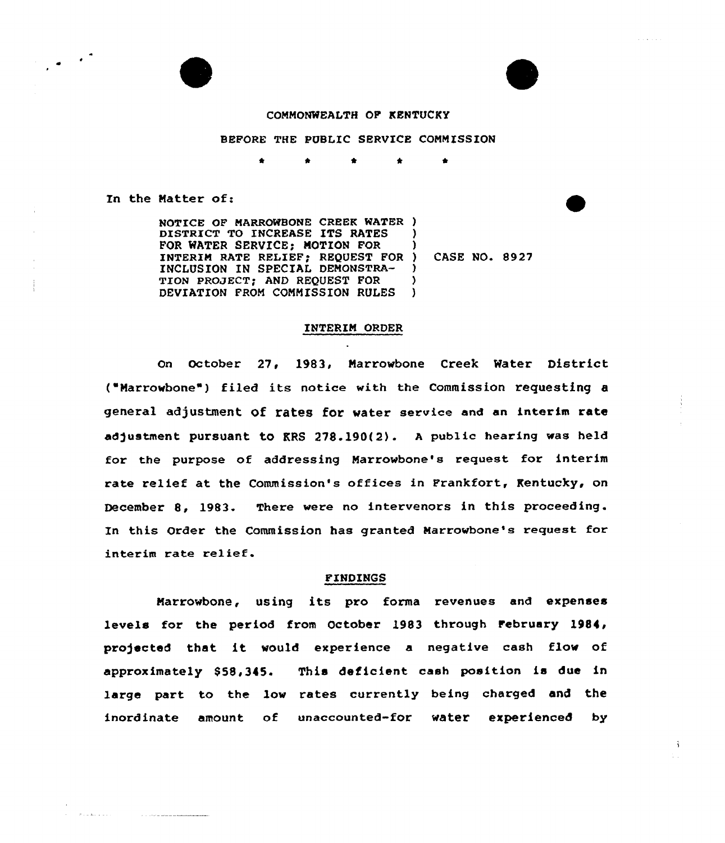

### COMMONWEALTH OF KENTUCKY

# BEFORE THE PUBLIC SERVICE COMMISSION

In the Matter of:

 $-8.12412222$ 

<u> 1977 - Andre Stadt Stadtsburg</u>

NOTICE OF MARROWBONE CREEK WATER ) DISTRICT TO INCREASE ITS RATES ) POR WATER SERVICE) MOTION FOR ) INTERIM RATE RELIEF; REQUEST FOR ) CASE NO. 8927 INCLUSION IN SPECIAL DEMONSTRA-) TION PROJECT; AND REQUEST FOR  $\lambda$ DEVIATION FROM COMMISSION RULES )

#### INTERIM ORDER

On October 27, 1983, Marrowbone Creek Water District ("Marrowbone") filed its notice with the Commission requesting a general adjustment Of rates for water service and an interim rate adjustment pursuant to RRS  $278.190(2)$ . A public hearing was held for the purpose of addressing Marrowbone's request for interim rate relief at the Commission's offices in Frankfort, Rentucky, on December 8, 1983. There were no intervenors in this proceeding. In this Order the Commission has granted Marrowbone's request for interim rate relief.

## FINDINGS

Marrowbone, using its pro forma revenues and expenses levels for the period from October 1983 through February 1984, pro)ected that it would experience <sup>a</sup> negative cash flow of approximately 858,345. This deficient cash position is due in large part to the low rates currently being charged and the inordinate amount of unaccounted-for water experienced by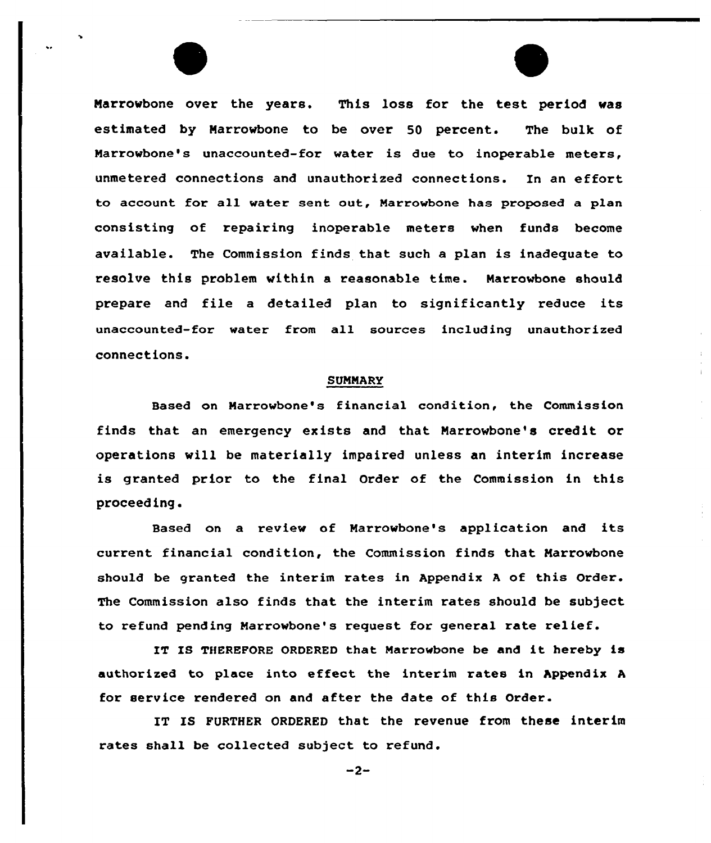Narrowbone over the years. This loss for the test period was estimated by Narrowbone to be over 50 percent. The bulk of Narrowbone's unaccounted-for water is due to inoperable meters, unmetered connections and unauthorized connections. In an effort to account for all water sent out, Marrowbone has proposed a plan consisting of repairing inoperable meters when funds become available. The Commission finds that such a plan is inadequate to resolve this problem within a reasonable time. Marrowbone should prepare and file <sup>a</sup> detailed plan to significantly reduce its unaccounted-for water from all sources including unauthorized connections.

#### SUMMARY

Based on Marrowbone's financial condition, the Commission finds that an emergency exists and that Narrowbone's credit or operations will be materially impaired unless an interim increase is granted prior to the final Order of the Commission in this proceed ing.

Based on a review of Marrowbone's application and its current financial condition, the Commission finds that Marrowbone should be granted the interim rates in Appendix <sup>A</sup> of this Order. The Commission also finds that the interim rates should be subject to refund pending Marrowbone's request for general rate relief.

IT IS THEREFORE ORDERED that Marrowbone be and it hereby is authorized to place into e ffeet the interim rates in Appendix <sup>A</sup> for service rendered on and after the date of this Order.

IT IS FURTHER ORDERED that the revenue from these interim rates shall be collected subject to refund.

 $-2-$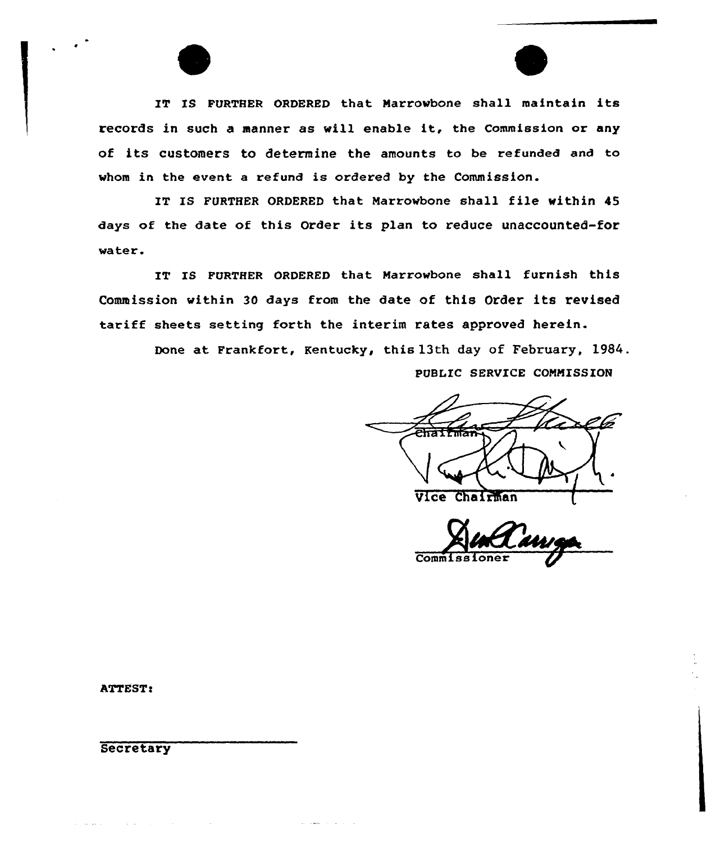IT IS FURTHER ORDERED that Marrowbone shall maintain its records in such <sup>a</sup> manner as will enable it, the Commission or any of its customers to determine the amounts to be refunded and to whom in the event a refund is ordered by the Commission.

IT IS FURTHER ORDERED that Marrowbone shall file within <sup>45</sup> days of the date of this Order its plan to reduce unaccounted-for water.

IT IS FURTHER ORDERED that Marrowbone shall furnish this Commission within 30 days from the date of this Order its revised tariff sheets setting forth the interim rates approved herein.

and a series of the

Done at Frankfort, Kentucky, this 13th day of February, 1984. PUBLIC SERVICE COMMISSION

2535755 Vice Chairman

Commiss

ATTEST:

**Secretary** 

 $\sim 10^7$